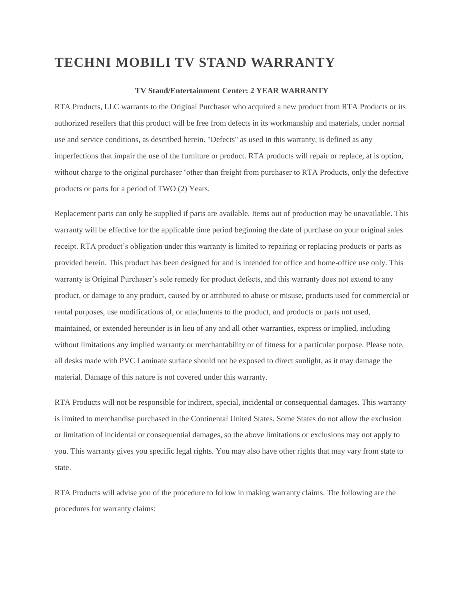## **TECHNI MOBILI TV STAND WARRANTY**

## **TV Stand/Entertainment Center: 2 YEAR WARRANTY**

RTA Products, LLC warrants to the Original Purchaser who acquired a new product from RTA Products or its authorized resellers that this product will be free from defects in its workmanship and materials, under normal use and service conditions, as described herein. "Defects" as used in this warranty, is defined as any imperfections that impair the use of the furniture or product. RTA products will repair or replace, at is option, without charge to the original purchaser 'other than freight from purchaser to RTA Products, only the defective products or parts for a period of TWO (2) Years.

Replacement parts can only be supplied if parts are available. Items out of production may be unavailable. This warranty will be effective for the applicable time period beginning the date of purchase on your original sales receipt. RTA product's obligation under this warranty is limited to repairing or replacing products or parts as provided herein. This product has been designed for and is intended for office and home-office use only. This warranty is Original Purchaser's sole remedy for product defects, and this warranty does not extend to any product, or damage to any product, caused by or attributed to abuse or misuse, products used for commercial or rental purposes, use modifications of, or attachments to the product, and products or parts not used, maintained, or extended hereunder is in lieu of any and all other warranties, express or implied, including without limitations any implied warranty or merchantability or of fitness for a particular purpose. Please note, all desks made with PVC Laminate surface should not be exposed to direct sunlight, as it may damage the material. Damage of this nature is not covered under this warranty.

RTA Products will not be responsible for indirect, special, incidental or consequential damages. This warranty is limited to merchandise purchased in the Continental United States. Some States do not allow the exclusion or limitation of incidental or consequential damages, so the above limitations or exclusions may not apply to you. This warranty gives you specific legal rights. You may also have other rights that may vary from state to state.

RTA Products will advise you of the procedure to follow in making warranty claims. The following are the procedures for warranty claims: